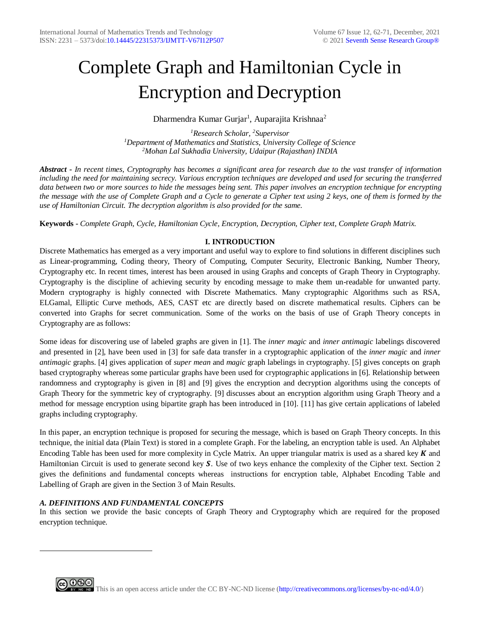# Complete Graph and Hamiltonian Cycle in Encryption and Decryption

Dharmendra Kumar Gurjar<sup>1</sup>, Auparajita Krishnaa<sup>2</sup>

*<sup>1</sup>Research Scholar, <sup>2</sup>Supervisor <sup>1</sup>Department of Mathematics and Statistics, University College of Science <sup>2</sup>Mohan Lal Sukhadia University, Udaipur (Rajasthan) INDIA*

*Abstract - In recent times, Cryptography has becomes a significant area for research due to the vast transfer of information including the need for maintaining secrecy. Various encryption techniques are developed and used for securing the transferred data between two or more sources to hide the messages being sent. This paper involves an encryption technique for encrypting the message with the use of Complete Graph and a Cycle to generate a Cipher text using 2 keys, one of them is formed by the use of Hamiltonian Circuit. The decryption algorithm is also provided for the same.* 

**Keywords -** *Complete Graph, Cycle, Hamiltonian Cycle, Encryption, Decryption, Cipher text, Complete Graph Matrix.*

# **I. INTRODUCTION**

Discrete Mathematics has emerged as a very important and useful way to explore to find solutions in different disciplines such as Linear-programming, Coding theory, Theory of Computing, Computer Security, Electronic Banking, Number Theory, Cryptography etc. In recent times, interest has been aroused in using Graphs and concepts of Graph Theory in Cryptography. Cryptography is the discipline of achieving security by encoding message to make them un-readable for unwanted party. Modern cryptography is highly connected with Discrete Mathematics. Many cryptographic Algorithms such as RSA, ELGamal, Elliptic Curve methods, AES, CAST etc are directly based on discrete mathematical results. Ciphers can be converted into Graphs for secret communication. Some of the works on the basis of use of Graph Theory concepts in Cryptography are as follows:

Some ideas for discovering use of labeled graphs are given in [1]. The *inner magic* and *inner antimagic* labelings discovered and presented in [2], have been used in [3] for safe data transfer in a cryptographic application of the *inner magic* and *inner antimagic* graphs. [4] gives application of *super mean* and *magic* graph labelings in cryptography. [5] gives concepts on graph based cryptography whereas some particular graphs have been used for cryptographic applications in [6]. Relationship between randomness and cryptography is given in [8] and [9] gives the encryption and decryption algorithms using the concepts of Graph Theory for the symmetric key of cryptography. [9] discusses about an encryption algorithm using Graph Theory and a method for message encryption using bipartite graph has been introduced in [10]. [11] has give certain applications of labeled graphs including cryptography.

In this paper, an encryption technique is proposed for securing the message, which is based on Graph Theory concepts. In this technique, the initial data (Plain Text) is stored in a complete Graph. For the labeling, an encryption table is used. An Alphabet Encoding Table has been used for more complexity in Cycle Matrix. An upper triangular matrix is used as a shared key  $K$  and Hamiltonian Circuit is used to generate second key  $S$ . Use of two keys enhance the complexity of the Cipher text. Section 2 gives the definitions and fundamental concepts whereas instructions for encryption table, Alphabet Encoding Table and Labelling of Graph are given in the Section 3 of Main Results.

# *A. DEFINITIONS AND FUNDAMENTAL CONCEPTS*

1

In this section we provide the basic concepts of Graph Theory and Cryptography which are required for the proposed encryption technique.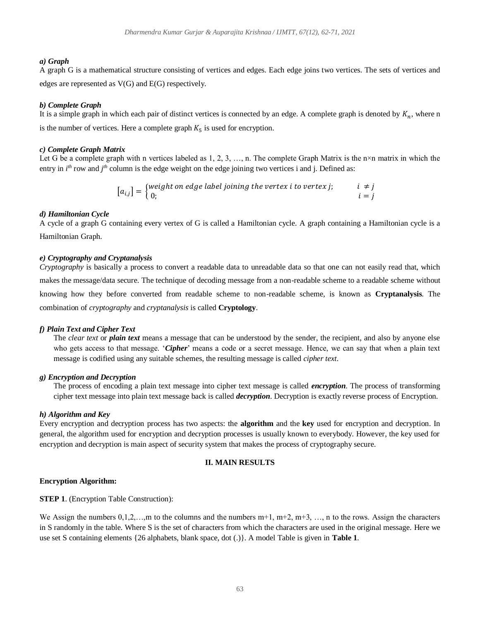## *a) Graph*

A graph G is a mathematical structure consisting of vertices and edges. Each edge joins two vertices. The sets of vertices and edges are represented as V(G) and E(G) respectively.

#### *b) Complete Graph*

It is a simple graph in which each pair of distinct vertices is connected by an edge. A complete graph is denoted by  $K_n$ , where n is the number of vertices. Here a complete graph  $K_5$  is used for encryption.

## *c) Complete Graph Matrix*

Let G be a complete graph with n vertices labeled as  $1, 2, 3, \ldots$ , n. The complete Graph Matrix is the n×n matrix in which the entry in  $i^{th}$  row and  $j^{th}$  column is the edge weight on the edge joining two vertices i and j. Defined as:

> $[a_{i,j}] = \begin{cases} \text{weight on edge label joining the vertex } i \text{ to vertex } j; & i \neq j \\ 0 & \text{otherwise.} \end{cases}$ 0;  $i = j$

#### *d) Hamiltonian Cycle*

A cycle of a graph G containing every vertex of G is called a Hamiltonian cycle. A graph containing a Hamiltonian cycle is a Hamiltonian Graph.

#### *e) Cryptography and Cryptanalysis*

*Cryptography* is basically a process to convert a readable data to unreadable data so that one can not easily read that, which makes the message/data secure. The technique of decoding message from a non-readable scheme to a readable scheme without knowing how they before converted from readable scheme to non-readable scheme, is known as **Cryptanalysis**. The combination of *cryptography* and *cryptanalysis* is called **Cryptology**.

#### *f) Plain Text and Cipher Text*

The *clear text* or *plain text* means a message that can be understood by the sender, the recipient, and also by anyone else who gets access to that message. '*Cipher*' means a code or a secret message. Hence, we can say that when a plain text message is codified using any suitable schemes, the resulting message is called *cipher text*.

## *g) Encryption and Decryption*

The process of encoding a plain text message into cipher text message is called *encryption*. The process of transforming cipher text message into plain text message back is called *decryption*. Decryption is exactly reverse process of Encryption.

#### *h) Algorithm and Key*

Every encryption and decryption process has two aspects: the **algorithm** and the **key** used for encryption and decryption. In general, the algorithm used for encryption and decryption processes is usually known to everybody. However, the key used for encryption and decryption is main aspect of security system that makes the process of cryptography secure.

## **II. MAIN RESULTS**

#### **Encryption Algorithm:**

**STEP 1**. (Encryption Table Construction):

We Assign the numbers  $0,1,2,...,m$  to the columns and the numbers  $m+1$ ,  $m+2$ ,  $m+3$ , ..., n to the rows. Assign the characters in S randomly in the table. Where S is the set of characters from which the characters are used in the original message. Here we use set S containing elements {26 alphabets, blank space, dot (.)}. A model Table is given in **Table 1**.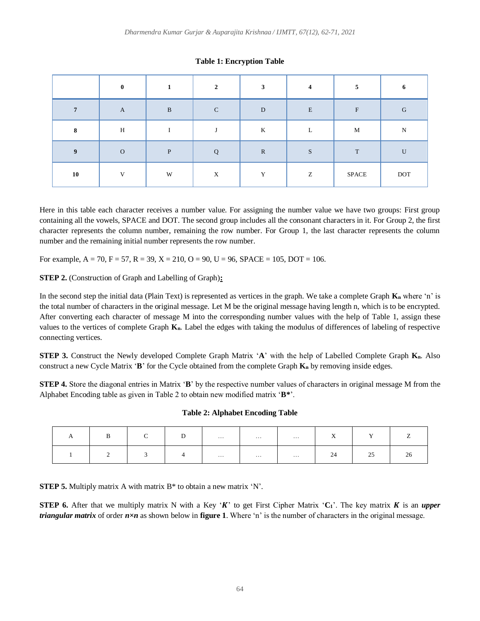|              | $\theta$     |   | $\mathcal{L}$ | 3            | $\boldsymbol{4}$ | 5            |              |
|--------------|--------------|---|---------------|--------------|------------------|--------------|--------------|
| $\mathbf{r}$ | $\mathbf{A}$ | B | $\mathcal{C}$ | D            | $\mathbf E$      | $\mathbf{F}$ | G            |
| 8            | H            |   |               | K            | L                | M            | $\mathbf N$  |
| 9            | $\Omega$     | P | $\mathbf{O}$  | $\mathbb{R}$ | S                | T            | $\mathbf{U}$ |
| 10           | $\mathbf{v}$ | W | X             | $\mathbf{v}$ | Z                | <b>SPACE</b> | <b>DOT</b>   |

# **Table 1: Encryption Table**

Here in this table each character receives a number value. For assigning the number value we have two groups: First group containing all the vowels, SPACE and DOT. The second group includes all the consonant characters in it. For Group 2, the first character represents the column number, remaining the row number. For Group 1, the last character represents the column number and the remaining initial number represents the row number.

For example,  $A = 70$ ,  $F = 57$ ,  $R = 39$ ,  $X = 210$ ,  $O = 90$ ,  $U = 96$ ,  $SPACE = 105$ ,  $DOT = 106$ .

**STEP 2.** (Construction of Graph and Labelling of Graph)**:**

In the second step the initial data (Plain Text) is represented as vertices in the graph. We take a complete Graph **K<sup>n</sup>** where 'n' is the total number of characters in the original message. Let M be the original message having length n, which is to be encrypted. After converting each character of message M into the corresponding number values with the help of Table 1, assign these values to the vertices of complete Graph **Kn**. Label the edges with taking the modulus of differences of labeling of respective connecting vertices.

**STEP 3.** Construct the Newly developed Complete Graph Matrix '**A**' with the help of Labelled Complete Graph **Kn**. Also construct a new Cycle Matrix '**B**' for the Cycle obtained from the complete Graph **K<sup>n</sup>** by removing inside edges.

**STEP 4.** Store the diagonal entries in Matrix '**B**' by the respective number values of characters in original message M from the Alphabet Encoding table as given in Table 2 to obtain new modified matrix '**B\***'.

# **Table 2: Alphabet Encoding Table**

| $\mathbf{r}$ | $\sim$<br>◡ | D.             | $\cdots$ | $\sim$ 0.000 $\sim$ | $\sim$ 100 $\sim$ 100 $\sim$ | $\mathbf{v}$<br>$\Lambda$ | $ -$             |     |
|--------------|-------------|----------------|----------|---------------------|------------------------------|---------------------------|------------------|-----|
|              |             | $\overline{4}$ | $\cdots$ | $\cdots$            | $\sim$ $\sim$ $\sim$         | -24                       | $\sim$ $-$<br>رے | -40 |

**STEP 5.** Multiply matrix A with matrix B<sup>\*</sup> to obtain a new matrix 'N'.

**STEP 6.** After that we multiply matrix N with a Key ' $K$ ' to get First Cipher Matrix ' $C_1$ '. The key matrix  $K$  is an *upper triangular matrix* of order *n×n* as shown below in **figure 1**. Where 'n' is the number of characters in the original message.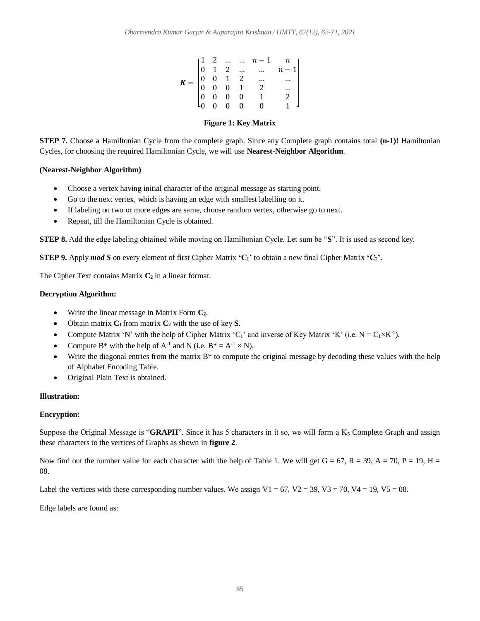|  |  | $\pmb{K} = \begin{bmatrix} 1 & 2 & \dots & \dots & n-1 & n \\ 0 & 1 & 2 & \dots & \dots & n-1 \\ 0 & 0 & 1 & 2 & \dots & \dots \\ 0 & 0 & 0 & 1 & 2 & \dots \\ 0 & 0 & 0 & 0 & 1 & 2 \\ 0 & 0 & 0 & 0 & 0 & 1 \end{bmatrix}$ |  |
|--|--|------------------------------------------------------------------------------------------------------------------------------------------------------------------------------------------------------------------------------|--|
|  |  |                                                                                                                                                                                                                              |  |
|  |  |                                                                                                                                                                                                                              |  |
|  |  |                                                                                                                                                                                                                              |  |
|  |  |                                                                                                                                                                                                                              |  |
|  |  |                                                                                                                                                                                                                              |  |

# **Figure 1: Key Matrix**

**STEP 7.** Choose a Hamiltonian Cycle from the complete graph. Since any Complete graph contains total **(n-1)!** Hamiltonian Cycles, for choosing the required Hamiltonian Cycle, we will use **Nearest-Neighbor Algorithm**.

# **(Nearest-Neighbor Algorithm)**

- Choose a vertex having initial character of the original message as starting point.
- Go to the next vertex, which is having an edge with smallest labelling on it.
- If labeling on two or more edges are same, choose random vertex, otherwise go to next.
- Repeat, till the Hamiltonian Cycle is obtained.

**STEP 8.** Add the edge labeling obtained while moving on Hamiltonian Cycle. Let sum be "**S**". It is used as second key.

**STEP 9.** Apply *mod S* on every element of first Cipher Matrix **'C1'** to obtain a new final Cipher Matrix **'C2'.**

The Cipher Text contains Matrix **C<sup>2</sup>** in a linear format.

# **Decryption Algorithm:**

- Write the linear message in Matrix Form **C2**.
- Obtain matrix **C<sup>1</sup>** from matrix **C<sup>2</sup>** with the use of key **S**.
- Compute Matrix 'N' with the help of Cipher Matrix 'C<sub>1</sub>' and inverse of Key Matrix 'K' (i.e.  $N = C_1 \times K^{-1}$ ).
- Compute B\* with the help of  $A^{-1}$  and N (i.e.  $B^* = A^{-1} \times N$ ).
- Write the diagonal entries from the matrix B<sup>\*</sup> to compute the original message by decoding these values with the help of Alphabet Encoding Table.
- Original Plain Text is obtained.

# **Illustration:**

# **Encryption:**

Suppose the Original Message is "**GRAPH**". Since it has 5 characters in it so, we will form a  $K_5$  Complete Graph and assign these characters to the vertices of Graphs as shown in **figure 2**.

Now find out the number value for each character with the help of Table 1. We will get  $G = 67$ ,  $R = 39$ ,  $A = 70$ ,  $P = 19$ ,  $H =$ 08.

Label the vertices with these corresponding number values. We assign  $V1 = 67$ ,  $V2 = 39$ ,  $V3 = 70$ ,  $V4 = 19$ ,  $V5 = 08$ .

Edge labels are found as: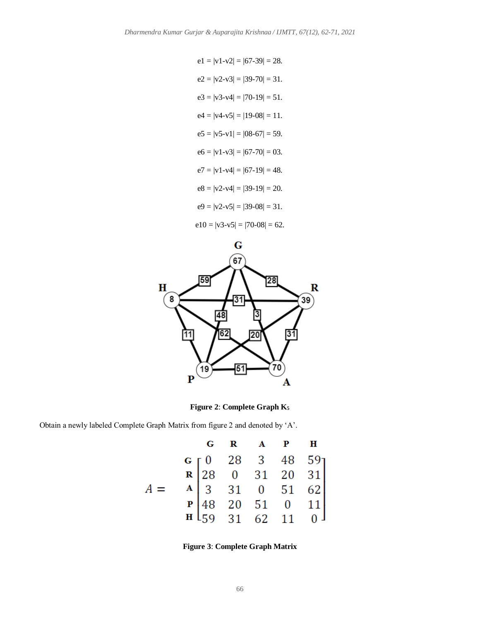$$
e1 = |v1-v2| = |67-39| = 28.
$$
  
\n
$$
e2 = |v2-v3| = |39-70| = 31.
$$
  
\n
$$
e3 = |v3-v4| = |70-19| = 51.
$$
  
\n
$$
e4 = |v4-v5| = |19-08| = 11.
$$
  
\n
$$
e5 = |v5-v1| = |08-67| = 59.
$$
  
\n
$$
e6 = |v1-v3| = |67-70| = 03.
$$
  
\n
$$
e7 = |v1-v4| = |67-19| = 48.
$$
  
\n
$$
e8 = |v2-v4| = |39-19| = 20.
$$
  
\n
$$
e9 = |v2-v5| = |39-08| = 31.
$$
  
\n
$$
e10 = |v3-v5| = |70-08| = 62.
$$



**Figure 2**: **Complete Graph K<sup>5</sup>**

Obtain a newly labeled Complete Graph Matrix from figure 2 and denoted by 'A'.

|  |  | $G$ $R$ $A$ $P$ $H$                                                                                                                                                          |  |
|--|--|------------------------------------------------------------------------------------------------------------------------------------------------------------------------------|--|
|  |  | <b>G</b> $\begin{bmatrix} 0 & 28 & 3 & 48 & 59 \\ 28 & 0 & 31 & 20 & 31 \\ A & 3 & 31 & 0 & 51 & 62 \\ P & 48 & 20 & 51 & 0 & 11 \\ H & 59 & 31 & 62 & 11 & 0 \end{bmatrix}$ |  |
|  |  |                                                                                                                                                                              |  |
|  |  |                                                                                                                                                                              |  |
|  |  |                                                                                                                                                                              |  |
|  |  |                                                                                                                                                                              |  |

**Figure 3**: **Complete Graph Matrix**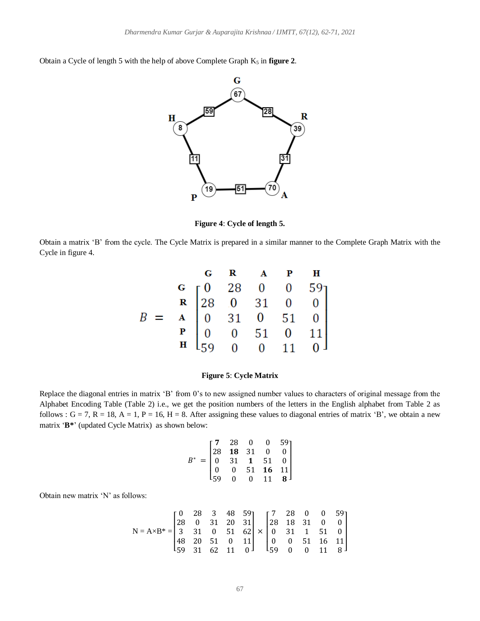Obtain a Cycle of length 5 with the help of above Complete Graph  $K_5$  in **figure 2**.



**Figure 4**: **Cycle of length 5.**

Obtain a matrix 'B' from the cycle. The Cycle Matrix is prepared in a similar manner to the Complete Graph Matrix with the Cycle in figure 4.

| G R A P H<br>G 28 0 0 59<br>R 28 0 31 0 0<br>B = A 0 31 0 51 0<br>P 0 0 51 0 11<br>H 59 0 0 11 0 |  |  |  |
|--------------------------------------------------------------------------------------------------|--|--|--|
|                                                                                                  |  |  |  |
|                                                                                                  |  |  |  |
|                                                                                                  |  |  |  |
|                                                                                                  |  |  |  |

# **Figure 5**: **Cycle Matrix**

Replace the diagonal entries in matrix 'B' from 0's to new assigned number values to characters of original message from the Alphabet Encoding Table (Table 2) i.e., we get the position numbers of the letters in the English alphabet from Table 2 as follows :  $G = 7$ ,  $R = 18$ ,  $A = 1$ ,  $P = 16$ ,  $H = 8$ . After assigning these values to diagonal entries of matrix 'B', we obtain a new matrix '**B\***' (updated Cycle Matrix) as shown below:

$$
B^* = \begin{bmatrix} 7 & 28 & 0 & 0 & 59 \\ 28 & \mathbf{18} & 31 & 0 & 0 \\ 0 & 31 & \mathbf{1} & 51 & 0 \\ 0 & 0 & 51 & \mathbf{16} & \mathbf{11} \\ 59 & 0 & 0 & \mathbf{11} & \mathbf{8} \end{bmatrix}
$$

Obtain new matrix 'N' as follows:

$$
N = A \times B^* = \begin{bmatrix} 0 & 28 & 3 & 48 & 59 \\ 28 & 0 & 31 & 20 & 31 \\ 3 & 31 & 0 & 51 & 62 \\ 48 & 20 & 51 & 0 & 11 \\ 59 & 31 & 62 & 11 & 0 \end{bmatrix} \times \begin{bmatrix} 7 & 28 & 0 & 0 & 59 \\ 28 & 18 & 31 & 0 & 0 \\ 0 & 31 & 1 & 51 & 0 \\ 0 & 0 & 51 & 16 & 11 \\ 59 & 0 & 0 & 11 & 8 \end{bmatrix}
$$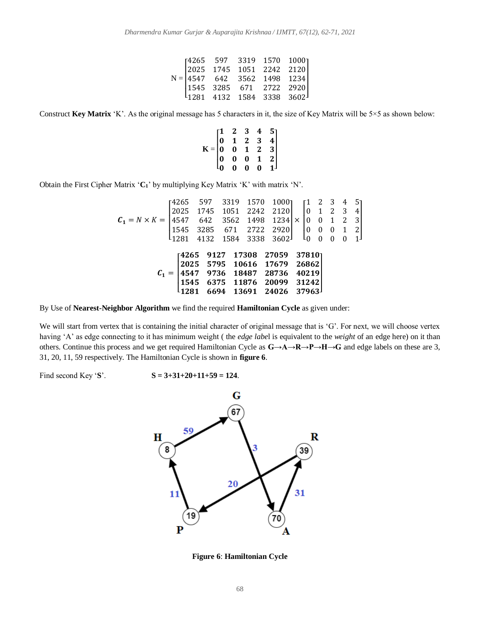|  |  | $\footnotesize \textbf{N=}\begin{bmatrix} 4265 & 597 & 3319 & 1570 & 1000 \\ 2025 & 1745 & 1051 & 2242 & 2120 \\ 4547 & 642 & 3562 & 1498 & 1234 \\ 1545 & 3285 & 671 & 2722 & 2920 \\ 1281 & 4132 & 1584 & 3338 & 3602 \end{bmatrix}$ |  |
|--|--|----------------------------------------------------------------------------------------------------------------------------------------------------------------------------------------------------------------------------------------|--|

Construct **Key Matrix** 'K'. As the original message has 5 characters in it, the size of Key Matrix will be 5×5 as shown below:

$$
K = \begin{bmatrix} 1 & 2 & 3 & 4 & 5 \\ 0 & 1 & 2 & 3 & 4 \\ 0 & 0 & 1 & 2 & 3 \\ 0 & 0 & 0 & 1 & 2 \\ 0 & 0 & 0 & 0 & 1 \end{bmatrix}
$$

Obtain the First Cipher Matrix '**C1**' by multiplying Key Matrix 'K' with matrix 'N'.

$$
C_1 = N \times K = \begin{bmatrix} 4265 & 597 & 3319 & 1570 & 1000 \\ 2025 & 1745 & 1051 & 2242 & 2120 \\ 4547 & 642 & 3562 & 1498 & 1234 \\ 1545 & 3285 & 671 & 2722 & 2920 \\ 1281 & 4132 & 1584 & 3338 & 3602 \end{bmatrix} \times \begin{bmatrix} 1 & 2 & 3 & 4 & 5 \\ 0 & 1 & 2 & 3 & 4 \\ 0 & 0 & 1 & 2 & 3 \\ 0 & 0 & 0 & 1 & 2 \\ 0 & 0 & 0 & 0 & 1 \end{bmatrix}
$$

$$
C_1 = \begin{bmatrix} 4265 & 9127 & 17308 & 27059 & 37810 \\ 2025 & 5795 & 10616 & 17679 & 26862 \\ 4547 & 9736 & 18487 & 28736 & 40219 \\ 1545 & 6375 & 11876 & 20099 & 31242 \\ 1281 & 6694 & 13691 & 24026 & 37963 \end{bmatrix}
$$

By Use of **Nearest-Neighbor Algorithm** we find the required **Hamiltonian Cycle** as given under:

We will start from vertex that is containing the initial character of original message that is 'G'. For next, we will choose vertex having 'A' as edge connecting to it has minimum weight ( the *edge labe*l is equivalent to the *weight* of an edge here) on it than others. Continue this process and we get required Hamiltonian Cycle as **G→A→R→P→H→G** and edge labels on these are 3, 31, 20, 11, 59 respectively. The Hamiltonian Cycle is shown in **figure 6**.

Find second Key '**S**'.  $S = 3+31+20+11+59 = 124$ .



**Figure 6**: **Hamiltonian Cycle**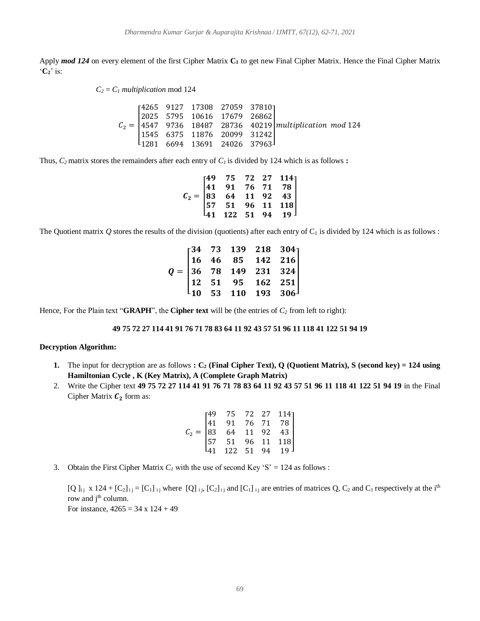Apply *mod 124* on every element of the first Cipher Matrix **C<sup>1</sup>** to get new Final Cipher Matrix. Hence the Final Cipher Matrix '**C2**' is:

 $C_2 = C_1$  *multiplication* mod 124

$$
C_2 = \begin{bmatrix} 4265 & 9127 & 17308 & 27059 & 37810 \\ 2025 & 5795 & 10616 & 17679 & 26862 \\ 4547 & 9736 & 18487 & 28736 & 40219 \\ 1545 & 6375 & 11876 & 20099 & 31242 \\ 1281 & 6694 & 13691 & 24026 & 37963 \end{bmatrix} \text{multiplication mod 124}
$$

Thus,  $C_2$  matrix stores the remainders after each entry of  $C_i$  is divided by 124 which is as follows :

|  | $\mathcal{C}_2 = \begin{bmatrix} 49 & 75 & 72 & 27 & 114 \ 41 & 91 & 76 & 71 & 78 \ 83 & 64 & 11 & 92 & 43 \ 57 & 51 & 96 & 11 & 118 \ 41 & 122 & 51 & 94 & 19 \end{bmatrix}$ |  |  |
|--|-------------------------------------------------------------------------------------------------------------------------------------------------------------------------------|--|--|

The Quotient matrix  $Q$  stores the results of the division (quotients) after each entry of  $C_1$  is divided by 124 which is as follows :

|  |  | $Q = \begin{bmatrix} 34 & 73 & 139 & 218 & 304 \ 16 & 46 & 85 & 142 & 216 \ 36 & 78 & 149 & 231 & 324 \ 12 & 51 & 95 & 162 & 251 \ 10 & 53 & 110 & 193 & 306 \end{bmatrix}$ |  |
|--|--|-----------------------------------------------------------------------------------------------------------------------------------------------------------------------------|--|

Hence, For the Plain text "**GRAPH**", the **Cipher text** will be (the entries of *C<sup>2</sup>* from left to right):

#### **49 75 72 27 114 41 91 76 71 78 83 64 11 92 43 57 51 96 11 118 41 122 51 94 19**

#### **Decryption Algorithm:**

- **1.** The input for decryption are as follows  $: C_2$  (Final Cipher Text), Q (Quotient Matrix), S (second key) = 124 using **Hamiltonian Cycle , K (Key Matrix), A (Complete Graph Matrix)**
- 2. Write the Cipher text **49 75 72 27 114 41 91 76 71 78 83 64 11 92 43 57 51 96 11 118 41 122 51 94 19** in the Final Cipher Matrix  $C_2$  form as:

$$
C_2 = \begin{bmatrix} 49 & 75 & 72 & 27 & 114 \\ 41 & 91 & 76 & 71 & 78 \\ 83 & 64 & 11 & 92 & 43 \\ 57 & 51 & 96 & 11 & 118 \\ 41 & 122 & 51 & 94 & 19 \end{bmatrix}
$$

3. Obtain the First Cipher Matrix  $C_l$  with the use of second Key 'S' = 124 as follows :

 $[Q]_{i,j}$  x 124 +  $[C_2]_{i,j}$  =  $[C_1]_{i,j}$  where  $[Q]_{i,j}$ ,  $[C_2]_{i,j}$  and  $[C_1]_{i,j}$  are entries of matrices Q,  $C_2$  and  $C_1$  respectively at the i<sup>th</sup> row and j<sup>th</sup> column. For instance,  $4265 = 34 \times 124 + 49$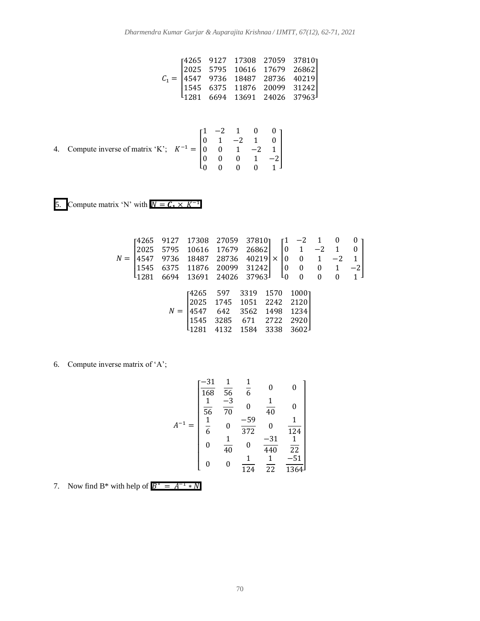$$
\mathcal{C}_1 = \begin{bmatrix} 4265 & 9127 & 17308 & 27059 & 37810 \\ 2025 & 5795 & 10616 & 17679 & 26862 \\ 4547 & 9736 & 18487 & 28736 & 40219 \\ 1545 & 6375 & 11876 & 20099 & 31242 \\ 1281 & 6694 & 13691 & 24026 & 37963 \end{bmatrix}
$$

4. Compute inverse of matrix 'K'; 
$$
K^{-1} = \begin{bmatrix} 1 & -2 & 1 & 0 & 0 \\ 0 & 1 & -2 & 1 & 0 \\ 0 & 0 & 1 & -2 & 1 \\ 0 & 0 & 0 & 1 & -2 \\ 0 & 0 & 0 & 0 & 1 \end{bmatrix}
$$

5. Compute matrix 'N' with  $N = C_1 \times K^{-1}$ 

$$
N = \begin{bmatrix} 4265 & 9127 & 17308 & 27059 & 37810 \\ 2025 & 5795 & 10616 & 17679 & 26862 \\ 4547 & 9736 & 18487 & 28736 & 40219 \\ 1545 & 6375 & 11876 & 20099 & 31242 \\ 1281 & 6694 & 13691 & 24026 & 37963 \end{bmatrix} \times \begin{bmatrix} 1 & -2 & 1 & 0 & 0 \\ 0 & 1 & -2 & 1 & 0 \\ 0 & 0 & 1 & -2 & 1 \\ 0 & 0 & 0 & 1 & -2 \\ 0 & 0 & 0 & 0 & 1 \end{bmatrix}
$$

$$
N = \begin{bmatrix} 4265 & 597 & 3319 & 1570 & 1000 \\ 2025 & 1745 & 1051 & 2242 & 2120 \\ 4547 & 642 & 3562 & 1498 & 1234 \\ 1545 & 3285 & 671 & 2722 & 2920 \\ 1281 & 4132 & 1584 & 3338 & 3602 \end{bmatrix}
$$

6. Compute inverse matrix of 'A';

$$
A^{-1} = \begin{bmatrix} \frac{-31}{168} & \frac{1}{56} & \frac{1}{6} & 0 & 0\\ \frac{1}{56} & \frac{-3}{70} & 0 & \frac{1}{40} & 0\\ \frac{1}{6} & 0 & \frac{-59}{372} & 0 & \frac{1}{124} \\ 0 & \frac{1}{40} & 0 & \frac{-31}{440} & \frac{1}{22} \\ 0 & 0 & \frac{1}{124} & \frac{1}{22} & \frac{-51}{1364} \end{bmatrix}
$$

7. Now find B\* with help of  $B^* = A^{-1} * N$